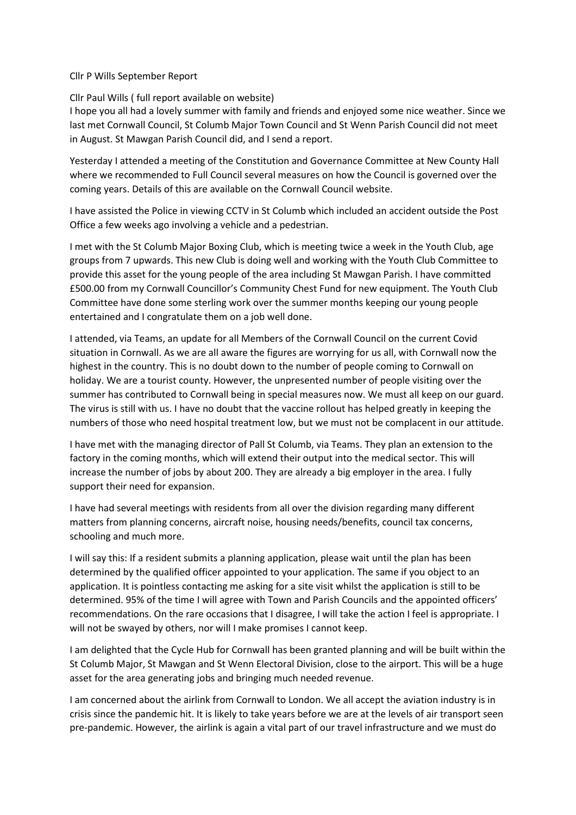## Cllr P Wills September Report

## Cllr Paul Wills ( full report available on website)

I hope you all had a lovely summer with family and friends and enjoyed some nice weather. Since we last met Cornwall Council, St Columb Major Town Council and St Wenn Parish Council did not meet in August. St Mawgan Parish Council did, and I send a report.

Yesterday I attended a meeting of the Constitution and Governance Committee at New County Hall where we recommended to Full Council several measures on how the Council is governed over the coming years. Details of this are available on the Cornwall Council website.

I have assisted the Police in viewing CCTV in St Columb which included an accident outside the Post Office a few weeks ago involving a vehicle and a pedestrian.

I met with the St Columb Major Boxing Club, which is meeting twice a week in the Youth Club, age groups from 7 upwards. This new Club is doing well and working with the Youth Club Committee to provide this asset for the young people of the area including St Mawgan Parish. I have committed £500.00 from my Cornwall Councillor's Community Chest Fund for new equipment. The Youth Club Committee have done some sterling work over the summer months keeping our young people entertained and I congratulate them on a job well done.

I attended, via Teams, an update for all Members of the Cornwall Council on the current Covid situation in Cornwall. As we are all aware the figures are worrying for us all, with Cornwall now the highest in the country. This is no doubt down to the number of people coming to Cornwall on holiday. We are a tourist county. However, the unpresented number of people visiting over the summer has contributed to Cornwall being in special measures now. We must all keep on our guard. The virus is still with us. I have no doubt that the vaccine rollout has helped greatly in keeping the numbers of those who need hospital treatment low, but we must not be complacent in our attitude.

I have met with the managing director of Pall St Columb, via Teams. They plan an extension to the factory in the coming months, which will extend their output into the medical sector. This will increase the number of jobs by about 200. They are already a big employer in the area. I fully support their need for expansion.

I have had several meetings with residents from all over the division regarding many different matters from planning concerns, aircraft noise, housing needs/benefits, council tax concerns, schooling and much more.

I will say this: If a resident submits a planning application, please wait until the plan has been determined by the qualified officer appointed to your application. The same if you object to an application. It is pointless contacting me asking for a site visit whilst the application is still to be determined. 95% of the time I will agree with Town and Parish Councils and the appointed officers' recommendations. On the rare occasions that I disagree, I will take the action I feel is appropriate. I will not be swayed by others, nor will I make promises I cannot keep.

I am delighted that the Cycle Hub for Cornwall has been granted planning and will be built within the St Columb Major, St Mawgan and St Wenn Electoral Division, close to the airport. This will be a huge asset for the area generating jobs and bringing much needed revenue.

I am concerned about the airlink from Cornwall to London. We all accept the aviation industry is in crisis since the pandemic hit. It is likely to take years before we are at the levels of air transport seen pre-pandemic. However, the airlink is again a vital part of our travel infrastructure and we must do